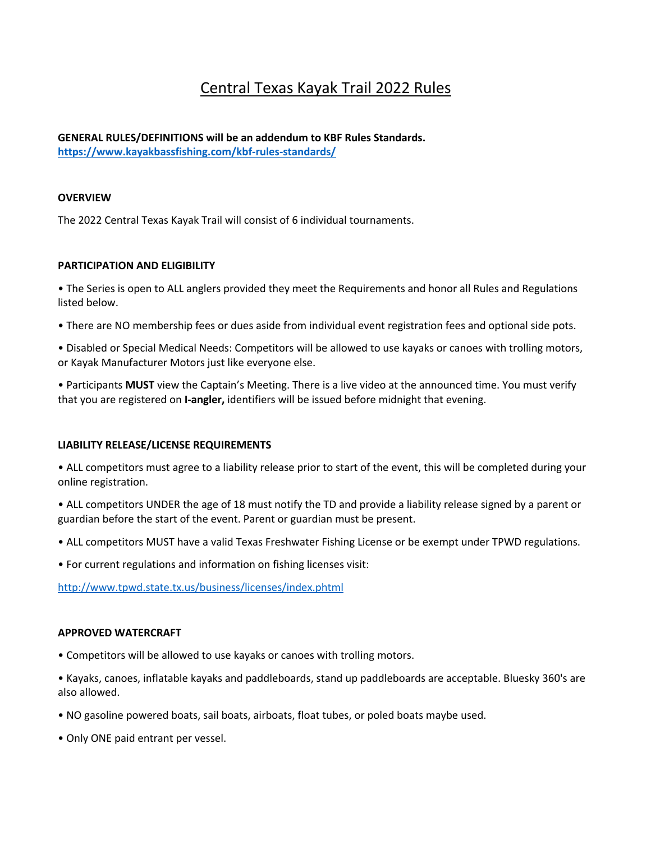# Central Texas Kayak Trail 2022 Rules

# **GENERAL RULES/DEFINITIONS will be an addendum to KBF Rules Standards. https://www.kayakbassfishing.com/kbf-rules-standards/**

## **OVERVIEW**

The 2022 Central Texas Kayak Trail will consist of 6 individual tournaments.

## **PARTICIPATION AND ELIGIBILITY**

• The Series is open to ALL anglers provided they meet the Requirements and honor all Rules and Regulations listed below.

• There are NO membership fees or dues aside from individual event registration fees and optional side pots.

• Disabled or Special Medical Needs: Competitors will be allowed to use kayaks or canoes with trolling motors, or Kayak Manufacturer Motors just like everyone else.

• Participants **MUST** view the Captain's Meeting. There is a live video at the announced time. You must verify that you are registered on **I-angler,** identifiers will be issued before midnight that evening.

#### **LIABILITY RELEASE/LICENSE REQUIREMENTS**

• ALL competitors must agree to a liability release prior to start of the event, this will be completed during your online registration.

• ALL competitors UNDER the age of 18 must notify the TD and provide a liability release signed by a parent or guardian before the start of the event. Parent or guardian must be present.

• ALL competitors MUST have a valid Texas Freshwater Fishing License or be exempt under TPWD regulations.

• For current regulations and information on fishing licenses visit:

http://www.tpwd.state.tx.us/business/licenses/index.phtml

#### **APPROVED WATERCRAFT**

• Competitors will be allowed to use kayaks or canoes with trolling motors.

• Kayaks, canoes, inflatable kayaks and paddleboards, stand up paddleboards are acceptable. Bluesky 360's are also allowed.

- NO gasoline powered boats, sail boats, airboats, float tubes, or poled boats maybe used.
- Only ONE paid entrant per vessel.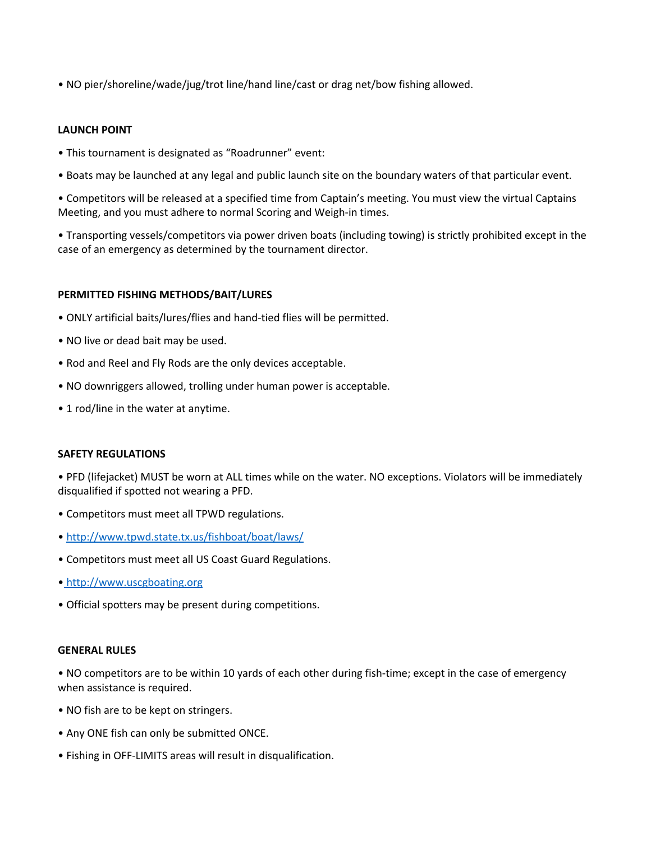• NO pier/shoreline/wade/jug/trot line/hand line/cast or drag net/bow fishing allowed.

## **LAUNCH POINT**

- This tournament is designated as "Roadrunner" event:
- Boats may be launched at any legal and public launch site on the boundary waters of that particular event.

• Competitors will be released at a specified time from Captain's meeting. You must view the virtual Captains Meeting, and you must adhere to normal Scoring and Weigh-in times.

• Transporting vessels/competitors via power driven boats (including towing) is strictly prohibited except in the case of an emergency as determined by the tournament director.

## **PERMITTED FISHING METHODS/BAIT/LURES**

- ONLY artificial baits/lures/flies and hand-tied flies will be permitted.
- NO live or dead bait may be used.
- Rod and Reel and Fly Rods are the only devices acceptable.
- NO downriggers allowed, trolling under human power is acceptable.
- 1 rod/line in the water at anytime.

#### **SAFETY REGULATIONS**

• PFD (lifejacket) MUST be worn at ALL times while on the water. NO exceptions. Violators will be immediately disqualified if spotted not wearing a PFD.

- Competitors must meet all TPWD regulations.
- http://www.tpwd.state.tx.us/fishboat/boat/laws/
- Competitors must meet all US Coast Guard Regulations.
- http://www.uscgboating.org
- Official spotters may be present during competitions.

#### **GENERAL RULES**

• NO competitors are to be within 10 yards of each other during fish-time; except in the case of emergency when assistance is required.

- NO fish are to be kept on stringers.
- Any ONE fish can only be submitted ONCE.
- Fishing in OFF-LIMITS areas will result in disqualification.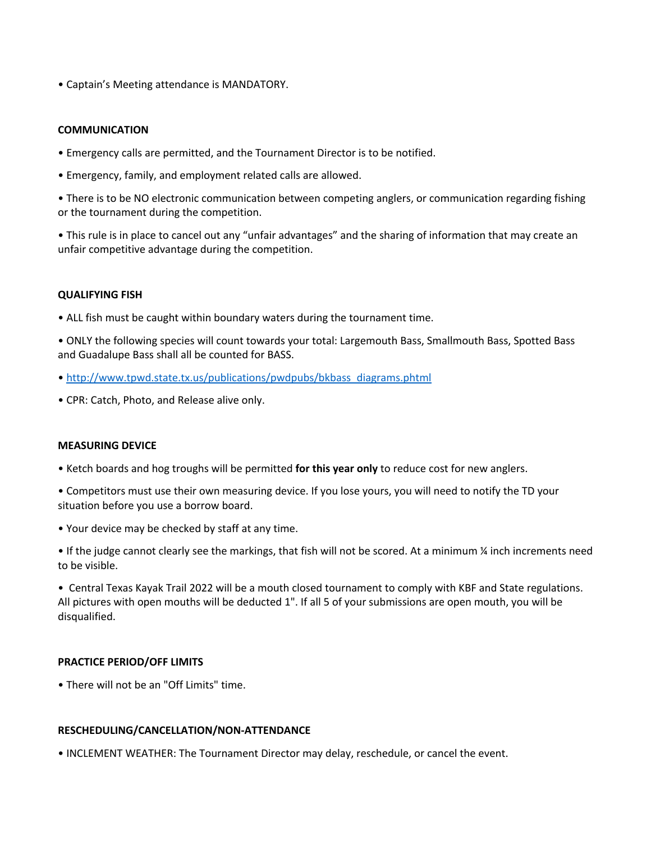• Captain's Meeting attendance is MANDATORY.

## **COMMUNICATION**

- Emergency calls are permitted, and the Tournament Director is to be notified.
- Emergency, family, and employment related calls are allowed.
- There is to be NO electronic communication between competing anglers, or communication regarding fishing or the tournament during the competition.
- This rule is in place to cancel out any "unfair advantages" and the sharing of information that may create an unfair competitive advantage during the competition.

#### **QUALIFYING FISH**

• ALL fish must be caught within boundary waters during the tournament time.

• ONLY the following species will count towards your total: Largemouth Bass, Smallmouth Bass, Spotted Bass and Guadalupe Bass shall all be counted for BASS.

- http://www.tpwd.state.tx.us/publications/pwdpubs/bkbass\_diagrams.phtml
- CPR: Catch, Photo, and Release alive only.

#### **MEASURING DEVICE**

- Ketch boards and hog troughs will be permitted **for this year only** to reduce cost for new anglers.
- Competitors must use their own measuring device. If you lose yours, you will need to notify the TD your situation before you use a borrow board.
- Your device may be checked by staff at any time.

• If the judge cannot clearly see the markings, that fish will not be scored. At a minimum ¼ inch increments need to be visible.

• Central Texas Kayak Trail 2022 will be a mouth closed tournament to comply with KBF and State regulations. All pictures with open mouths will be deducted 1". If all 5 of your submissions are open mouth, you will be disqualified.

## **PRACTICE PERIOD/OFF LIMITS**

• There will not be an "Off Limits" time.

#### **RESCHEDULING/CANCELLATION/NON-ATTENDANCE**

• INCLEMENT WEATHER: The Tournament Director may delay, reschedule, or cancel the event.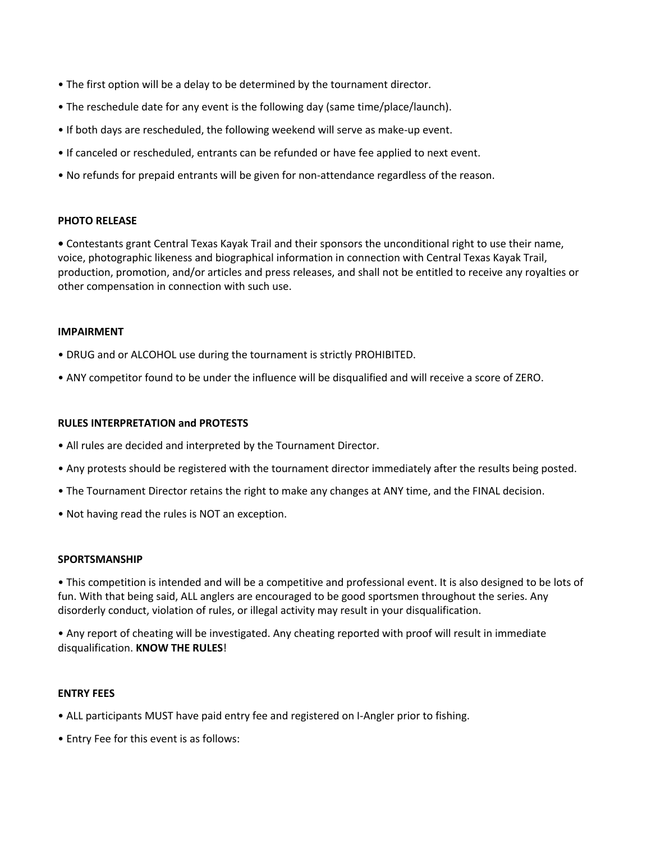- The first option will be a delay to be determined by the tournament director.
- The reschedule date for any event is the following day (same time/place/launch).
- If both days are rescheduled, the following weekend will serve as make-up event.
- If canceled or rescheduled, entrants can be refunded or have fee applied to next event.
- No refunds for prepaid entrants will be given for non-attendance regardless of the reason.

## **PHOTO RELEASE**

**•** Contestants grant Central Texas Kayak Trail and their sponsors the unconditional right to use their name, voice, photographic likeness and biographical information in connection with Central Texas Kayak Trail, production, promotion, and/or articles and press releases, and shall not be entitled to receive any royalties or other compensation in connection with such use.

#### **IMPAIRMENT**

- DRUG and or ALCOHOL use during the tournament is strictly PROHIBITED.
- ANY competitor found to be under the influence will be disqualified and will receive a score of ZERO.

#### **RULES INTERPRETATION and PROTESTS**

- All rules are decided and interpreted by the Tournament Director.
- Any protests should be registered with the tournament director immediately after the results being posted.
- The Tournament Director retains the right to make any changes at ANY time, and the FINAL decision.
- Not having read the rules is NOT an exception.

#### **SPORTSMANSHIP**

• This competition is intended and will be a competitive and professional event. It is also designed to be lots of fun. With that being said, ALL anglers are encouraged to be good sportsmen throughout the series. Any disorderly conduct, violation of rules, or illegal activity may result in your disqualification.

• Any report of cheating will be investigated. Any cheating reported with proof will result in immediate disqualification. **KNOW THE RULES**!

#### **ENTRY FEES**

- ALL participants MUST have paid entry fee and registered on I-Angler prior to fishing.
- Entry Fee for this event is as follows: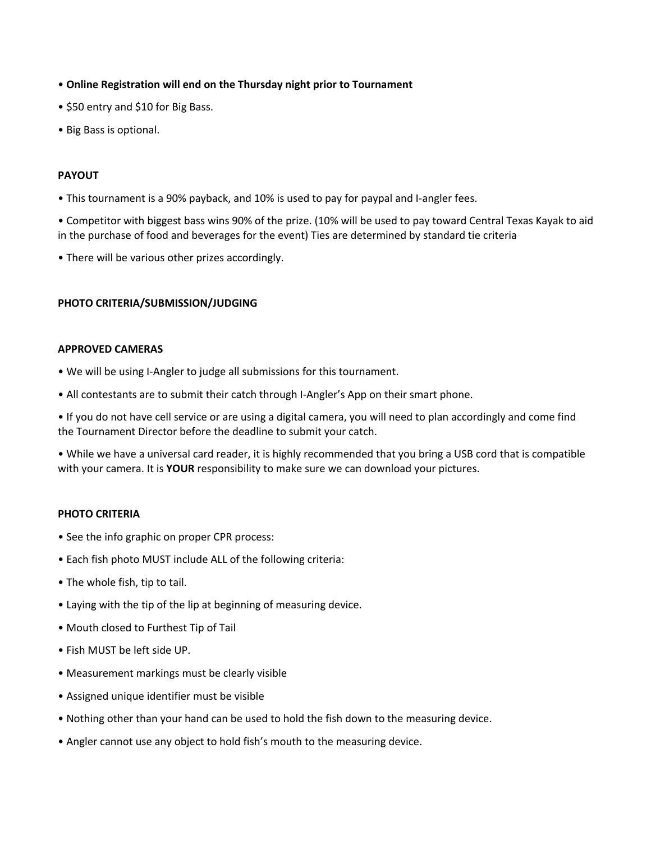- **Online Registration will end on the Thursday night prior to Tournament**
- \$50 entry and \$10 for Big Bass.
- Big Bass is optional.

# **PAYOUT**

• This tournament is a 90% payback, and 10% is used to pay for paypal and I-angler fees.

• Competitor with biggest bass wins 90% of the prize. (10% will be used to pay toward Central Texas Kayak to aid in the purchase of food and beverages for the event) Ties are determined by standard tie criteria

• There will be various other prizes accordingly.

## **PHOTO CRITERIA/SUBMISSION/JUDGING**

#### **APPROVED CAMERAS**

- We will be using I-Angler to judge all submissions for this tournament.
- All contestants are to submit their catch through I-Angler's App on their smart phone.

• If you do not have cell service or are using a digital camera, you will need to plan accordingly and come find the Tournament Director before the deadline to submit your catch.

• While we have a universal card reader, it is highly recommended that you bring a USB cord that is compatible with your camera. It is **YOUR** responsibility to make sure we can download your pictures.

# **PHOTO CRITERIA**

- See the info graphic on proper CPR process:
- Each fish photo MUST include ALL of the following criteria:
- The whole fish, tip to tail.
- Laying with the tip of the lip at beginning of measuring device.
- Mouth closed to Furthest Tip of Tail
- Fish MUST be left side UP.
- Measurement markings must be clearly visible
- Assigned unique identifier must be visible
- Nothing other than your hand can be used to hold the fish down to the measuring device.
- Angler cannot use any object to hold fish's mouth to the measuring device.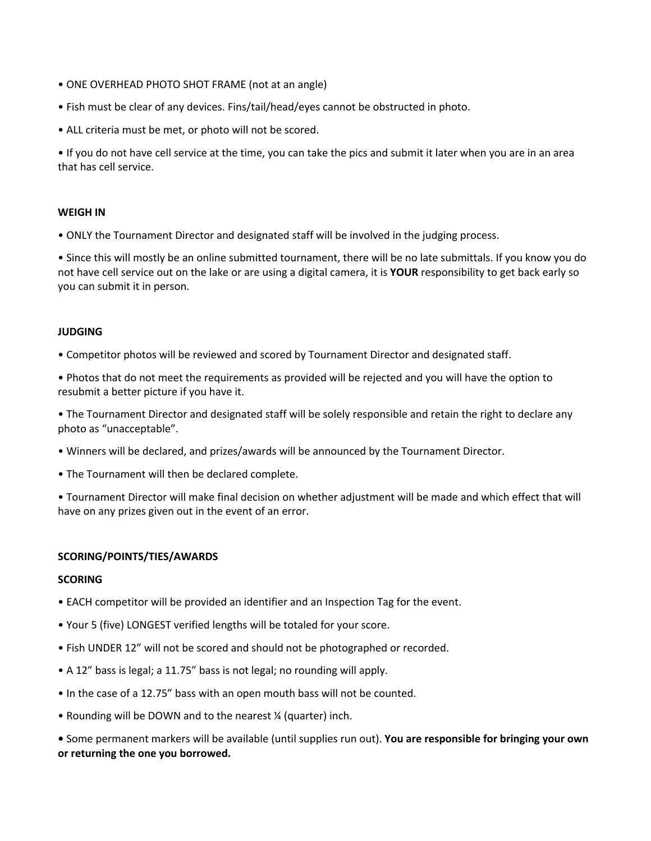- ONE OVERHEAD PHOTO SHOT FRAME (not at an angle)
- Fish must be clear of any devices. Fins/tail/head/eyes cannot be obstructed in photo.
- ALL criteria must be met, or photo will not be scored.

• If you do not have cell service at the time, you can take the pics and submit it later when you are in an area that has cell service.

## **WEIGH IN**

• ONLY the Tournament Director and designated staff will be involved in the judging process.

• Since this will mostly be an online submitted tournament, there will be no late submittals. If you know you do not have cell service out on the lake or are using a digital camera, it is **YOUR** responsibility to get back early so you can submit it in person.

## **JUDGING**

• Competitor photos will be reviewed and scored by Tournament Director and designated staff.

• Photos that do not meet the requirements as provided will be rejected and you will have the option to resubmit a better picture if you have it.

• The Tournament Director and designated staff will be solely responsible and retain the right to declare any photo as "unacceptable".

- Winners will be declared, and prizes/awards will be announced by the Tournament Director.
- The Tournament will then be declared complete.

• Tournament Director will make final decision on whether adjustment will be made and which effect that will have on any prizes given out in the event of an error.

## **SCORING/POINTS/TIES/AWARDS**

## **SCORING**

- EACH competitor will be provided an identifier and an Inspection Tag for the event.
- Your 5 (five) LONGEST verified lengths will be totaled for your score.
- Fish UNDER 12" will not be scored and should not be photographed or recorded.
- A 12" bass is legal; a 11.75" bass is not legal; no rounding will apply.
- In the case of a 12.75" bass with an open mouth bass will not be counted.
- Rounding will be DOWN and to the nearest ¼ (quarter) inch.

**•** Some permanent markers will be available (until supplies run out). **You are responsible for bringing your own or returning the one you borrowed.**